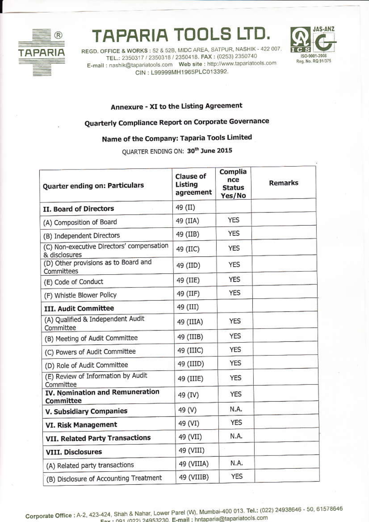

## **TAPARIA TOOLS LTD.**

REGD. OFFICE & WORKS: 52 & 52B, MIDC AREA, SATPUR, NASHIK - 422 007. TEL.: 2350317 / 2350318 / 2350418. FAX : (0253) 2350740 E-mail: nashik@tapariatools.com Web site: http://www.tapariatools.com CIN: L99999MH1965PLC013392.



## Annexure - XI to the Listing Agreement

## Quarterly Compliance Report on Corporate Governance

## Name of the Company: Taparia Tools Limited

QUARTER ENDING ON: 30th June 2015

| Quarter ending on: Particulars                             | <b>Clause of</b><br>Listing<br>agreement | Complia<br>nce<br><b>Status</b><br>Yes/No | <b>Remarks</b> |
|------------------------------------------------------------|------------------------------------------|-------------------------------------------|----------------|
| II. Board of Directors                                     | 49 (II)                                  |                                           |                |
| (A) Composition of Board                                   | 49 (IIA)                                 | <b>YES</b>                                |                |
| (B) Independent Directors                                  | 49 (IIB)                                 | <b>YES</b>                                |                |
| (C) Non-executive Directors' compensation<br>& disclosures | 49 (IIC)                                 | <b>YES</b>                                |                |
| (D) Other provisions as to Board and<br>Committees         | 49 (IID)                                 | <b>YES</b>                                |                |
| (E) Code of Conduct                                        | 49 (IIE)                                 | <b>YES</b>                                |                |
| (F) Whistle Blower Policy                                  | 49 (IIF)                                 | <b>YES</b>                                |                |
| III. Audit Committee                                       | 49 (III)                                 |                                           |                |
| (A) Qualified & Independent Audit<br>Committee             | 49 (IIIA)                                | <b>YES</b>                                |                |
| (B) Meeting of Audit Committee                             | 49 (IIIB)                                | <b>YES</b>                                |                |
| (C) Powers of Audit Committee                              | 49 (IIIC)                                | <b>YES</b>                                |                |
| (D) Role of Audit Committee                                | 49 (IIID)                                | <b>YES</b>                                |                |
| (E) Review of Information by Audit<br>Committee            | 49 (IIIE)                                | <b>YES</b>                                |                |
| IV. Nomination and Remuneration<br>Committee               | 49 (IV)                                  | <b>YES</b>                                |                |
| V. Subsidiary Companies                                    | 49 (V)                                   | N.A.                                      |                |
| VI. Risk Management                                        | 49 (VI)                                  | <b>YES</b>                                |                |
| VII. Related Party Transactions                            | 49 (VII)                                 | N.A.                                      |                |
| <b>VIII. Disclosures</b>                                   | 49 (VIII)                                |                                           |                |
| (A) Related party transactions                             | 49 (VIIIA)                               | N.A.                                      |                |
| (B) Disclosure of Accounting Treatment                     | 49 (VIIIB)                               | <b>YES</b>                                |                |